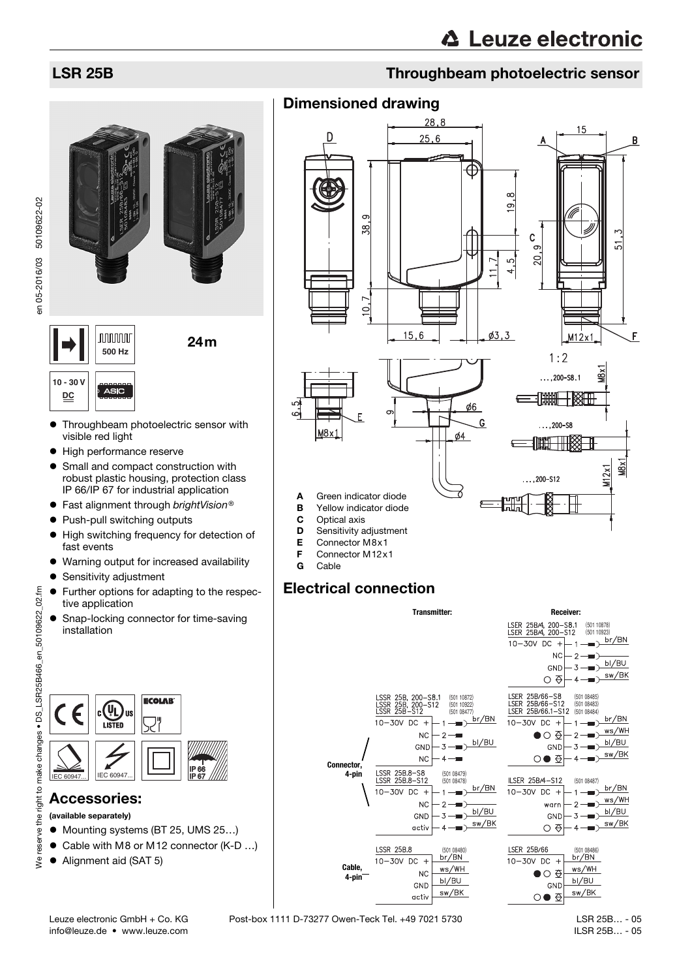



- Throughbeam photoelectric sensor with visible red light
- $\bullet$  High performance reserve
- Small and compact construction with robust plastic housing, protection class IP 66/IP 67 for industrial application
- $\bullet$  Fast alignment through brightVision®
- Push-pull switching outputs
- $\bullet$  High switching frequency for detection of fast events
- Warning output for increased availability
- **•** Sensitivity adjustment
- Further options for adapting to the respective application
- Snap-locking connector for time-saving installation



## Accessories:

- (available separately)
- Mounting systems (BT 25, UMS 25...)
- Cable with M8 or M12 connector (K-D ...)
- Alignment aid (SAT 5)

## LSR 25B Throughbeam photoelectric sensor

## Dimensioned drawing



## Electrical connection



Leuze electronic GmbH + Co. KG Post-box 1111 D-73277 Owen-Teck Tel. +49 7021 5730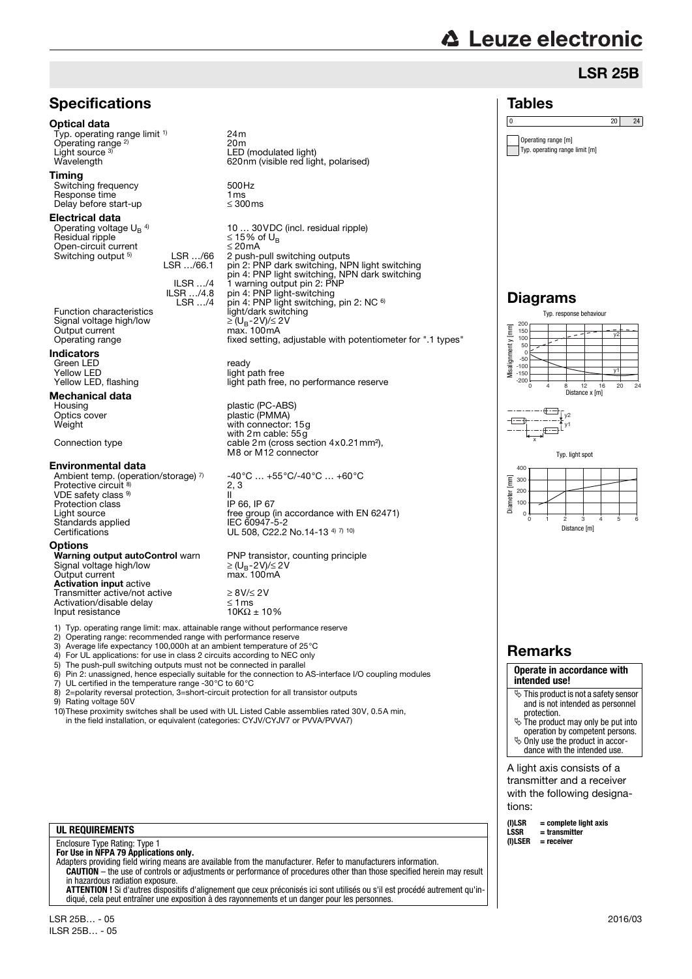# **△ Leuze electronic**

0  $20$  24

LSR 25B

Tables

Operating range [m] Typ. operating range limit [m]

## **Specifications**

### Optical data

Typ. operating range limit <sup>1)</sup> Operating range<sup>2)</sup> Light source 3)

### Timing

Switching frequency 500Hz<br>Response time 1 ms<br>Delay before start-up ≤ 300ms Response time Delay before start-up

#### Electrical data

Operating voltage  $U_B$ <sup>4)</sup><br>Residual ripple Open-circuit current<br>Switching output <sup>5)</sup> LSB *.../*66 Switching output <sup>5)</sup>

Signal voltage high/low ≥ (UB-2V)/≤ 2V Output current max. 100mA

#### Indicators

Green LED ready Yellow LED<br>
Yellow LED, flashing<br>
Yellow LED, flashing<br>
Yellow LED, flashing

### Mechanical data

#### Environmental data

Ambient temp. (operation/storage) 7) Protective circuit 8) VDE safety class 9) Protection class IP 66, IP 67<br>
light source free group ( Standards applied<br>Certifications

**Options**<br>Warning output autoControl warn Warning <del>varper</del><br>Signal voltage high/low<br>Output current Activation input active Transmitter active/not active<br>Activation/disable delay<br>Input resistance 10K $\Omega \pm 10\%$ Activation/disable delay Input resistance

24m 20m Light source <sup>a)</sup> LED (modulated light)<br>Wavelength 620nm (visible red light, polarised)

10 … 30VDC (incl. residual ripple)  $≤ 15%$  of U<sub>B</sub><br> ≤ 20mA LSR .../66.1 2 push-pull switching outputs pin 2: PNP dark switching, NPN light switching pin 4: PNP light switching, NPN dark switching 1 warning output pin 2: PNP ILSR …/4 ILSR …/4.8 LSR …/4 ILSR .../4.8 pin 4: PNP light-switching<br>CSR .../4 pin 4: PNP light switching, pin 2: NC 6<br>light/dark switching Operating range fixed setting, adjustable with potentiometer for ".1 types"

light path free, no performance reserve

Housing blastic (PC-ABS)<br>
Optics cover blastic (PMMA) Optics cover plastic (PMMA) with connector: 15g with 2m cable: 55g Connection type cable 2m (cross section 4x0.21mm<sup>2</sup>), M8 or M12 connector

> -40°C … +55°C/-40°C … +60°C 2, 3 II free group (in accordance with EN 62471)<br>IEC 60947-5-2 UL 508, C22.2 No.14-13 4) 7) 10)

PNP transistor, counting principle  $\geq$  (U<sub>B</sub>-2V)/≤ 2V<br>max. 100mA

1) Typ. operating range limit: max. attainable range without performance reserve

- 2) Operating range: recommended range with performance reserve<br>3) Average life expectancy 100,000h at an ambient temperature of :
- 3) Average life expectancy 100,000h at an ambient temperature of 25 °C<br>4) For UL applications: for use in class 2 circuits according to NEC only
- 4) For UL applications: for use in class 2 circuits according to NEC only<br>5) The push-pull switching outputs must not be connected in parallel

The push-pull switching outputs must not be connected in parallel

6) Pin 2: unassigned, hence especially suitable for the connection to AS-interface I/O coupling modules

- 7) UL certified in the temperature range -30°C to 60°C 8) 2=polarity reversal protection, 3=short-circuit protection for all transistor outputs
- 9) Rating voltage 50V

10)These proximity switches shall be used with UL Listed Cable assemblies rated 30V, 0.5A min, in the field installation, or equivalent (categories: CYJV/CYJV7 or PVVA/PVVA7)

### **UL REQUIREMENTS**

Enclosure Type Rating: Type 1 **For Use in NFPA 79 Applications only.**

Adapters providing field wiring means are available from the manufacturer. Refer to manufacturers information. **CAUTION** – the use of controls or adjustments or performance of procedures other than those specified herein may result in hazardous radiation exposure.

**ATTENTION !** Si d'autres dispositifs d'alignement que ceux préconisés ici sont utilisés ou s'il est procédé autrement qu'indiqué, cela peut entraîner une exposition à des rayonnements et un danger pour les personnes.

### Diagrams Typ. response behaviour 200 Visalignment y [mm] Misalignment y [mm] 150 y2 100  $50$ 0  $-50$  $-100$ y1 -150 -200 0 4 8 12 16 20 24 Distance x [m]  $\bar{y}$ y1 x Typ. light spot  $400$  $\sqrt{\frac{2}{1}}$ Diameter [mm] 300 200 Diameter 100 0 0 1 2 3 4 5 6 Distance [m]

## Remarks

#### **Operate in accordance with intended use!**

- $\ddot{\mathbb{S}}$  This product is not a safety sensor and is not intended as personnel
- protection. The product may only be put into operation by competent persons.
- $\ddot{\phi}$  Only use the product in accordance with the intended use.

A light axis consists of a transmitter and a receiver with the following designations:

| (I)LSR  | $=$ complete light axis |
|---------|-------------------------|
| LSSR    | = transmitter           |
| (I)LSER | = receiver              |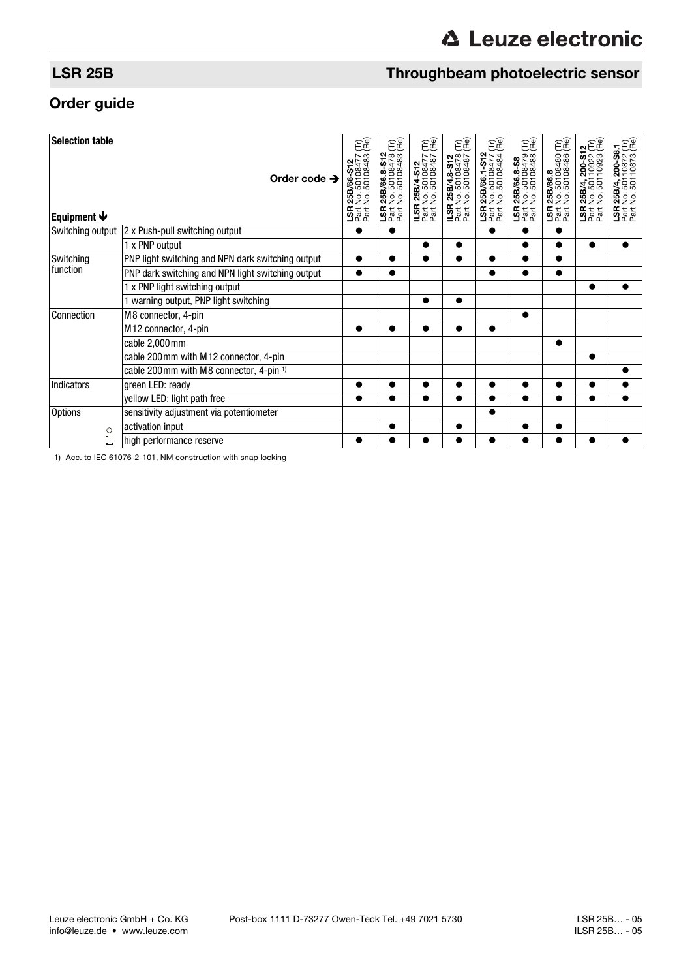## LSR 25B Throughbeam photoelectric sensor

## Order guide

| <b>Selection table</b>    | Order code $\rightarrow$                          | ÊÊ<br>50108477<br>1 25B/66-S12<br>: No. 50108477<br>: No. 50108483 | EC<br>1 25B/66.8-S12<br>: No. 50108478<br>: No. 50108483 ( | EC<br>25B/4-S12<br>\lo. 50108477 (<br>\lo. 50108487 ( | EC<br>25B/4.8-S12<br>No. 50108478 (<br>No. 50108487 ( | EC<br>1 25B/66.1-S12<br>! No. 50108477 (<br>! No. 50108484 ( | EC<br>1 25B/66.8-S8<br>t No. 50108479 (<br>t No. 50108488 ( | <b>1 25B/66.8</b><br>t No. 50108480 (Tr)<br>t No. 50108486 (Re) | 200-S12<br>110922 (Tr)<br>110923 (Re)<br>25B/4, 2<br>No. 501<br>No. 501 | 200-S8.1<br> 10872 (Tr)<br> 10873 (Re)<br>25B/4, 2<br>No. 501<br>No. 501 |
|---------------------------|---------------------------------------------------|--------------------------------------------------------------------|------------------------------------------------------------|-------------------------------------------------------|-------------------------------------------------------|--------------------------------------------------------------|-------------------------------------------------------------|-----------------------------------------------------------------|-------------------------------------------------------------------------|--------------------------------------------------------------------------|
| Equipment $\blacklozenge$ |                                                   | <b>SEE</b>                                                         | <b>S</b><br>2 at<br>2 at                                   | <b>ILSR 25E</b><br>Part No. !<br>Part No. !           | <b>ILSR 25E</b><br>Part No. 4<br>Part No. 4           | <b>S</b> at Eat                                              | $\frac{5}{25}$                                              | <b>SEE</b>                                                      | <b>SEE</b>                                                              | <b>SEE</b>                                                               |
|                           |                                                   |                                                                    |                                                            |                                                       |                                                       |                                                              |                                                             |                                                                 |                                                                         |                                                                          |
| Switching output          | 2 x Push-pull switching output                    |                                                                    |                                                            |                                                       |                                                       |                                                              |                                                             |                                                                 |                                                                         |                                                                          |
|                           | 1 x PNP output                                    |                                                                    |                                                            |                                                       |                                                       |                                                              |                                                             |                                                                 | $\bullet$                                                               |                                                                          |
| Switching<br>function     | PNP light switching and NPN dark switching output |                                                                    |                                                            |                                                       |                                                       |                                                              |                                                             | $\bullet$                                                       |                                                                         |                                                                          |
|                           | PNP dark switching and NPN light switching output |                                                                    | $\bullet$                                                  |                                                       |                                                       |                                                              |                                                             | $\bullet$                                                       |                                                                         |                                                                          |
|                           | 1 x PNP light switching output                    |                                                                    |                                                            |                                                       |                                                       |                                                              |                                                             |                                                                 |                                                                         |                                                                          |
|                           | 1 warning output, PNP light switching             |                                                                    |                                                            | $\bullet$                                             | $\bullet$                                             |                                                              |                                                             |                                                                 |                                                                         |                                                                          |
| Connection                | M8 connector, 4-pin                               |                                                                    |                                                            |                                                       |                                                       |                                                              |                                                             |                                                                 |                                                                         |                                                                          |
|                           | M12 connector, 4-pin                              | ●                                                                  |                                                            |                                                       |                                                       |                                                              |                                                             |                                                                 |                                                                         |                                                                          |
|                           | cable 2,000 mm                                    |                                                                    |                                                            |                                                       |                                                       |                                                              |                                                             | $\bullet$                                                       |                                                                         |                                                                          |
|                           | cable 200mm with M12 connector, 4-pin             |                                                                    |                                                            |                                                       |                                                       |                                                              |                                                             |                                                                 |                                                                         |                                                                          |
|                           | cable 200mm with M8 connector, 4-pin 1)           |                                                                    |                                                            |                                                       |                                                       |                                                              |                                                             |                                                                 |                                                                         |                                                                          |
| Indicators                | green LED: ready                                  |                                                                    |                                                            |                                                       |                                                       |                                                              |                                                             |                                                                 |                                                                         |                                                                          |
|                           | yellow LED: light path free                       |                                                                    |                                                            |                                                       |                                                       |                                                              |                                                             |                                                                 |                                                                         |                                                                          |
| <b>Options</b>            | sensitivity adjustment via potentiometer          |                                                                    |                                                            |                                                       |                                                       |                                                              |                                                             |                                                                 |                                                                         |                                                                          |
| $\circ$                   | activation input                                  |                                                                    |                                                            |                                                       |                                                       |                                                              |                                                             |                                                                 |                                                                         |                                                                          |
| $\Box$                    | high performance reserve                          |                                                                    |                                                            |                                                       |                                                       |                                                              |                                                             |                                                                 |                                                                         |                                                                          |

1) Acc. to IEC 61076-2-101, NM construction with snap locking